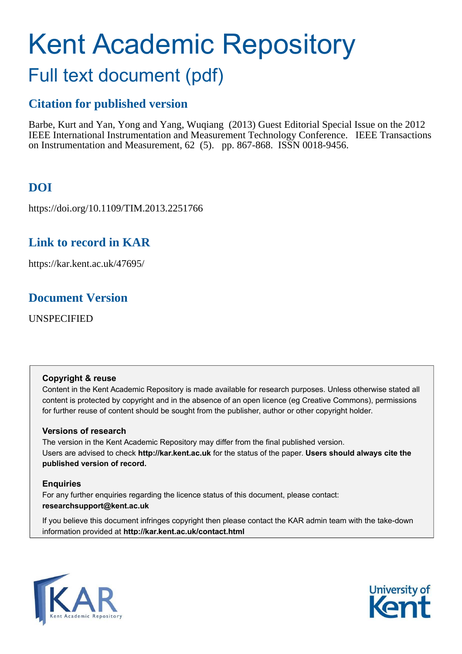# Kent Academic Repository

# Full text document (pdf)

## **Citation for published version**

Barbe, Kurt and Yan, Yong and Yang, Wuqiang (2013) Guest Editorial Special Issue on the 2012 IEEE International Instrumentation and Measurement Technology Conference. IEEE Transactions on Instrumentation and Measurement, 62 (5). pp. 867-868. ISSN 0018-9456.

## **DOI**

https://doi.org/10.1109/TIM.2013.2251766

### **Link to record in KAR**

https://kar.kent.ac.uk/47695/

### **Document Version**

UNSPECIFIED

#### **Copyright & reuse**

Content in the Kent Academic Repository is made available for research purposes. Unless otherwise stated all content is protected by copyright and in the absence of an open licence (eg Creative Commons), permissions for further reuse of content should be sought from the publisher, author or other copyright holder.

#### **Versions of research**

The version in the Kent Academic Repository may differ from the final published version. Users are advised to check **http://kar.kent.ac.uk** for the status of the paper. **Users should always cite the published version of record.**

#### **Enquiries**

For any further enquiries regarding the licence status of this document, please contact: **researchsupport@kent.ac.uk**

If you believe this document infringes copyright then please contact the KAR admin team with the take-down information provided at **http://kar.kent.ac.uk/contact.html**



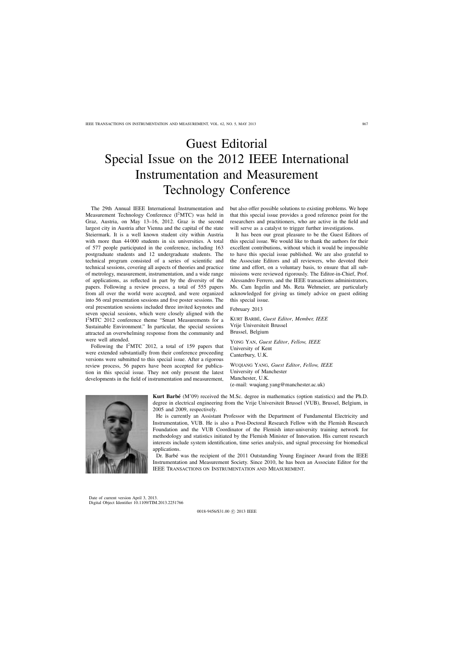# Guest Editorial Special Issue on the 2012 IEEE International Instrumentation and Measurement Technology Conference

The 29th Annual IEEE International Instrumentation and Measurement Technology Conference  $(I^2MTC)$  was held in Graz, Austria, on May 13–16, 2012. Graz is the second largest city in Austria after Vienna and the capital of the state Steiermark. It is a well known student city within Austria with more than 44 000 students in six universities. A total of 577 people participated in the conference, including 163 postgraduate students and 12 undergraduate students. The technical program consisted of a series of scientific and technical sessions, covering all aspects of theories and practice of metrology, measurement, instrumentation, and a wide range of applications, as reflected in part by the diversity of the papers. Following a review process, a total of 555 papers from all over the world were accepted, and were organized into 56 oral presentation sessions and five poster sessions. The oral presentation sessions included three invited keynotes and seven special sessions, which were closely aligned with the I<sup>2</sup>MTC 2012 conference theme "Smart Measurements for a Sustainable Environment." In particular, the special sessions attracted an overwhelming response from the community and were well attended.

Following the I<sup>2</sup>MTC 2012, a total of 159 papers that were extended substantially from their conference proceeding versions were submitted to this special issue. After a rigorous review process, 56 papers have been accepted for publication in this special issue. They not only present the latest developments in the field of instrumentation and measurement, but also offer possible solutions to existing problems. We hope that this special issue provides a good reference point for the researchers and practitioners, who are active in the field and will serve as a catalyst to trigger further investigations.

It has been our great pleasure to be the Guest Editors of this special issue. We would like to thank the authors for their excellent contributions, without which it would be impossible to have this special issue published. We are also grateful to the Associate Editors and all reviewers, who devoted their time and effort, on a voluntary basis, to ensure that all submissions were reviewed rigorously. The Editor-in-Chief, Prof. Alessandro Ferrero, and the IEEE transactions administrators, Ms. Cam Ingelin and Ms. Reta Wehmeier, are particularly acknowledged for giving us timely advice on guest editing this special issue.

February 2013

KURT BARBE´, *Guest Editor*, *Member, IEEE* Vrije Universiteit Brussel Brussel, Belgium

YONG YAN, *Guest Editor*, *Fellow, IEEE* University of Kent Canterbury, U.K.

WUQIANG YANG, *Guest Editor*, *Fellow, IEEE* University of Manchester Manchester, U.K. (e-mail: wuqiang.yang@manchester.ac.uk)



**Kurt Barbé** (M'09) received the M.Sc. degree in mathematics (option statistics) and the Ph.D. degree in electrical engineering from the Vrije Universiteit Brussel (VUB), Brussel, Belgium, in 2005 and 2009, respectively.

He is currently an Assistant Professor with the Department of Fundamental Electricity and Instrumentation, VUB. He is also a Post-Doctoral Research Fellow with the Flemish Research Foundation and the VUB Coordinator of the Flemish inter-university training network for methodology and statistics initiated by the Flemish Minister of Innovation. His current research interests include system identification, time series analysis, and signal processing for biomedical applications.

Dr. Barbé was the recipient of the 2011 Outstanding Young Engineer Award from the IEEE Instrumentation and Measurement Society. Since 2010, he has been an Associate Editor for the IEEE Transactions on Instrumentation and Measurement.